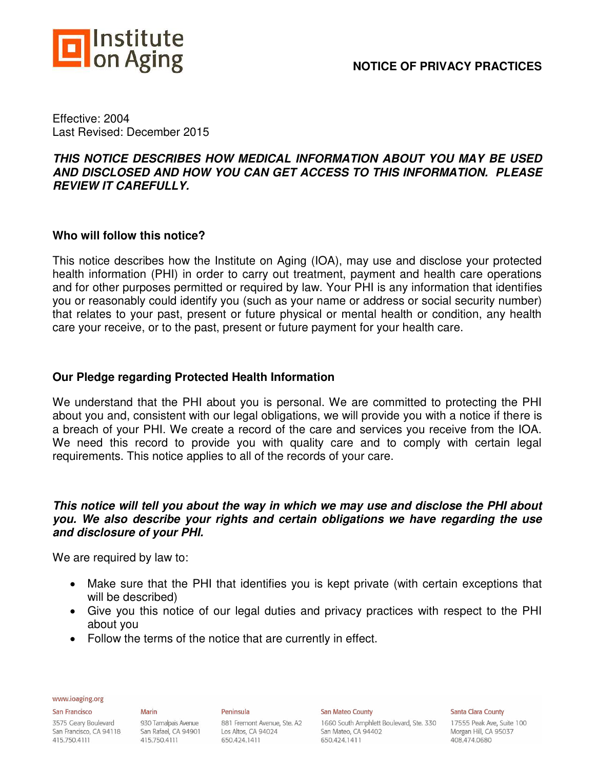

### **NOTICE OF PRIVACY PRACTICES**

Effective: 2004 Last Revised: December 2015

### *THIS NOTICE DESCRIBES HOW MEDICAL INFORMATION ABOUT YOU MAY BE USED AND DISCLOSED AND HOW YOU CAN GET ACCESS TO THIS INFORMATION. PLEASE REVIEW IT CAREFULLY.*

### **Who will follow this notice?**

This notice describes how the Institute on Aging (IOA), may use and disclose your protected health information (PHI) in order to carry out treatment, payment and health care operations and for other purposes permitted or required by law. Your PHI is any information that identifies you or reasonably could identify you (such as your name or address or social security number) that relates to your past, present or future physical or mental health or condition, any health care your receive, or to the past, present or future payment for your health care.

### **Our Pledge regarding Protected Health Information**

We understand that the PHI about you is personal. We are committed to protecting the PHI about you and, consistent with our legal obligations, we will provide you with a notice if there is a breach of your PHI. We create a record of the care and services you receive from the IOA. We need this record to provide you with quality care and to comply with certain legal requirements. This notice applies to all of the records of your care.

### *This notice will tell you about the way in which we may use and disclose the PHI about you. We also describe your rights and certain obligations we have regarding the use and disclosure of your PHI.*

We are required by law to:

- Make sure that the PHI that identifies you is kept private (with certain exceptions that will be described)
- Give you this notice of our legal duties and privacy practices with respect to the PHI about you
- Follow the terms of the notice that are currently in effect.

www.ioaging.org

#### San Francisco

3575 Geary Boulevard San Francisco, CA 94118 San Rafael, CA 94901 415.750.4111

**Marin** 930 Tamalpais Avenue 415.750.4111

# Peninsula

881 Fremont Avenue, Ste. A2 Los Altos, CA 94024 650.424.1411

San Mateo County

1660 South Amphlett Boulevard, Ste. 330 San Mateo, CA 94402 650.424.1411

**Santa Clara County**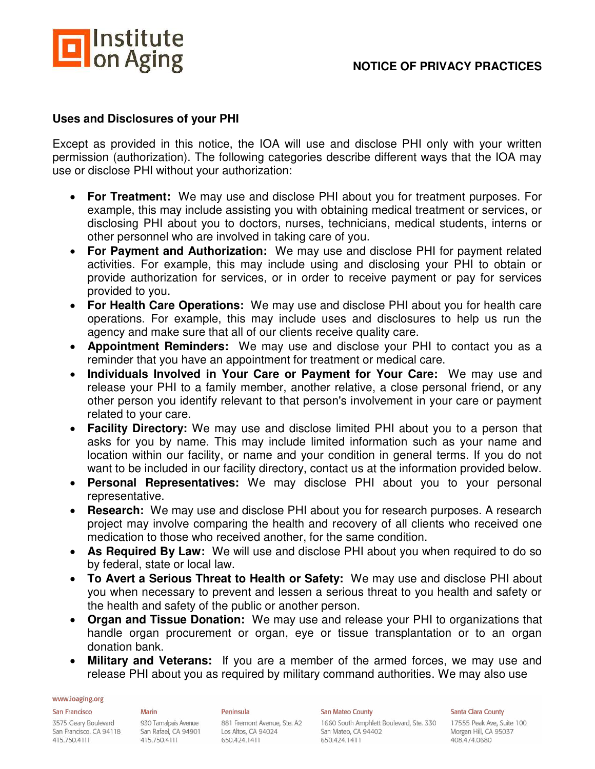

### **Uses and Disclosures of your PHI**

Except as provided in this notice, the IOA will use and disclose PHI only with your written permission (authorization). The following categories describe different ways that the IOA may use or disclose PHI without your authorization:

- **For Treatment:** We may use and disclose PHI about you for treatment purposes. For example, this may include assisting you with obtaining medical treatment or services, or disclosing PHI about you to doctors, nurses, technicians, medical students, interns or other personnel who are involved in taking care of you.
- **For Payment and Authorization:** We may use and disclose PHI for payment related activities. For example, this may include using and disclosing your PHI to obtain or provide authorization for services, or in order to receive payment or pay for services provided to you.
- **For Health Care Operations:** We may use and disclose PHI about you for health care operations. For example, this may include uses and disclosures to help us run the agency and make sure that all of our clients receive quality care.
- **Appointment Reminders:** We may use and disclose your PHI to contact you as a reminder that you have an appointment for treatment or medical care.
- **Individuals Involved in Your Care or Payment for Your Care:** We may use and release your PHI to a family member, another relative, a close personal friend, or any other person you identify relevant to that person's involvement in your care or payment related to your care.
- **Facility Directory:** We may use and disclose limited PHI about you to a person that asks for you by name. This may include limited information such as your name and location within our facility, or name and your condition in general terms. If you do not want to be included in our facility directory, contact us at the information provided below.
- **Personal Representatives:** We may disclose PHI about you to your personal representative.
- **Research:** We may use and disclose PHI about you for research purposes. A research project may involve comparing the health and recovery of all clients who received one medication to those who received another, for the same condition.
- **As Required By Law:** We will use and disclose PHI about you when required to do so by federal, state or local law.
- **To Avert a Serious Threat to Health or Safety:** We may use and disclose PHI about you when necessary to prevent and lessen a serious threat to you health and safety or the health and safety of the public or another person.
- **Organ and Tissue Donation:** We may use and release your PHI to organizations that handle organ procurement or organ, eye or tissue transplantation or to an organ donation bank.
- **Military and Veterans:** If you are a member of the armed forces, we may use and release PHI about you as required by military command authorities. We may also use

#### www.ioaging.org

#### San Francisco

3575 Geary Boulevard San Francisco, CA 94118 San Rafael, CA 94901 415.750.4111

### **Marin** 930 Tamalpais Avenue 415.750.4111

Peninsula 881 Fremont Avenue, Ste. A2 Los Altos, CA 94024 650.424.1411

San Mateo County

1660 South Amphlett Boulevard, Ste. 330 San Mateo, CA 94402 650.424.1411

**Santa Clara County**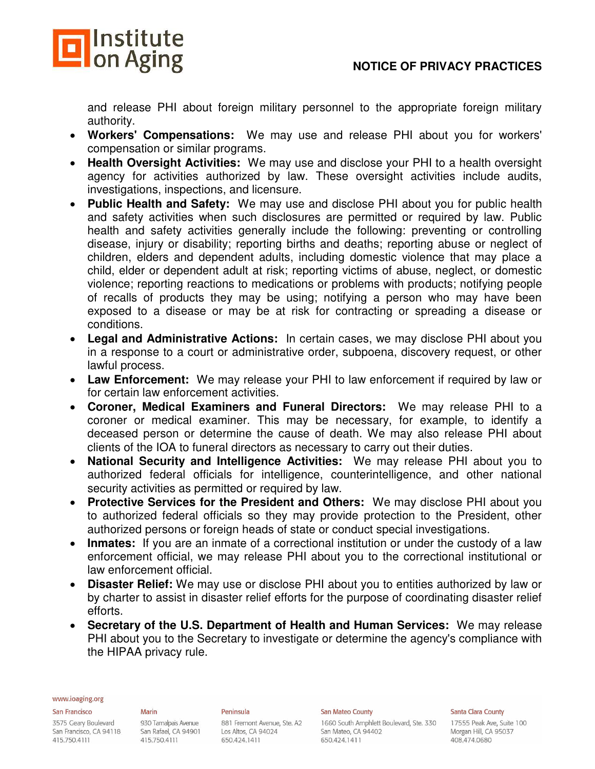

and release PHI about foreign military personnel to the appropriate foreign military authority.

- **Workers' Compensations:** We may use and release PHI about you for workers' compensation or similar programs.
- **Health Oversight Activities:** We may use and disclose your PHI to a health oversight agency for activities authorized by law. These oversight activities include audits, investigations, inspections, and licensure.
- **Public Health and Safety:** We may use and disclose PHI about you for public health and safety activities when such disclosures are permitted or required by law. Public health and safety activities generally include the following: preventing or controlling disease, injury or disability; reporting births and deaths; reporting abuse or neglect of children, elders and dependent adults, including domestic violence that may place a child, elder or dependent adult at risk; reporting victims of abuse, neglect, or domestic violence; reporting reactions to medications or problems with products; notifying people of recalls of products they may be using; notifying a person who may have been exposed to a disease or may be at risk for contracting or spreading a disease or conditions.
- **Legal and Administrative Actions:** In certain cases, we may disclose PHI about you in a response to a court or administrative order, subpoena, discovery request, or other lawful process.
- **Law Enforcement:** We may release your PHI to law enforcement if required by law or for certain law enforcement activities.
- **Coroner, Medical Examiners and Funeral Directors:** We may release PHI to a coroner or medical examiner. This may be necessary, for example, to identify a deceased person or determine the cause of death. We may also release PHI about clients of the IOA to funeral directors as necessary to carry out their duties.
- **National Security and Intelligence Activities:** We may release PHI about you to authorized federal officials for intelligence, counterintelligence, and other national security activities as permitted or required by law.
- **Protective Services for the President and Others:** We may disclose PHI about you to authorized federal officials so they may provide protection to the President, other authorized persons or foreign heads of state or conduct special investigations.
- **Inmates:** If you are an inmate of a correctional institution or under the custody of a law enforcement official, we may release PHI about you to the correctional institutional or law enforcement official.
- **Disaster Relief:** We may use or disclose PHI about you to entities authorized by law or by charter to assist in disaster relief efforts for the purpose of coordinating disaster relief efforts.
- **Secretary of the U.S. Department of Health and Human Services:** We may release PHI about you to the Secretary to investigate or determine the agency's compliance with the HIPAA privacy rule.

#### www.ioaging.org

#### San Francisco

3575 Geary Boulevard San Francisco, CA 94118 415.750.4111

#### **Marin**

930 Tamalpais Avenue San Rafael, CA 94901 415.750.4111

#### Peninsula 881 Fremont Avenue, Ste. A2 Los Altos, CA 94024 650.424.1411

#### San Mateo County

1660 South Amphlett Boulevard, Ste. 330 San Mateo, CA 94402 650.424.1411

#### **Santa Clara County**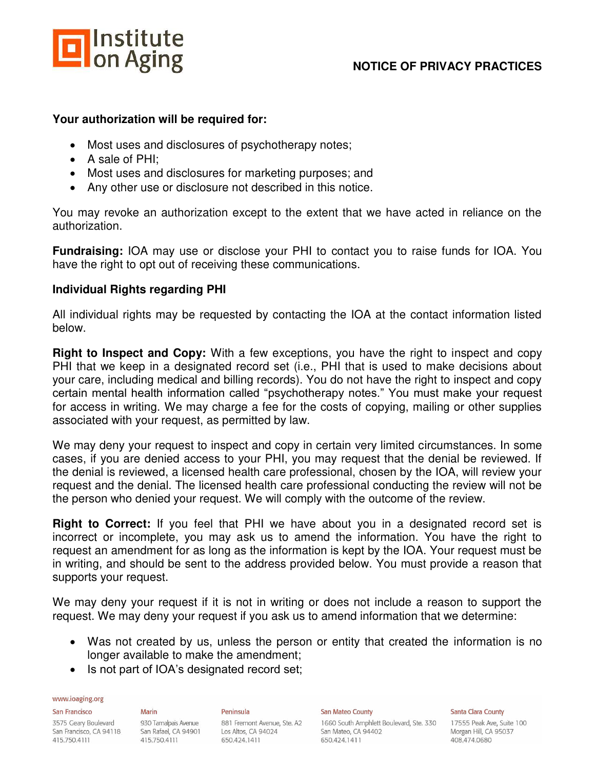

### **Your authorization will be required for:**

- Most uses and disclosures of psychotherapy notes;
- A sale of PHI:
- Most uses and disclosures for marketing purposes; and
- Any other use or disclosure not described in this notice.

You may revoke an authorization except to the extent that we have acted in reliance on the authorization.

**Fundraising:** IOA may use or disclose your PHI to contact you to raise funds for IOA. You have the right to opt out of receiving these communications.

### **Individual Rights regarding PHI**

All individual rights may be requested by contacting the IOA at the contact information listed below.

**Right to Inspect and Copy:** With a few exceptions, you have the right to inspect and copy PHI that we keep in a designated record set (i.e., PHI that is used to make decisions about your care, including medical and billing records). You do not have the right to inspect and copy certain mental health information called "psychotherapy notes." You must make your request for access in writing. We may charge a fee for the costs of copying, mailing or other supplies associated with your request, as permitted by law.

We may deny your request to inspect and copy in certain very limited circumstances. In some cases, if you are denied access to your PHI, you may request that the denial be reviewed. If the denial is reviewed, a licensed health care professional, chosen by the IOA, will review your request and the denial. The licensed health care professional conducting the review will not be the person who denied your request. We will comply with the outcome of the review.

**Right to Correct:** If you feel that PHI we have about you in a designated record set is incorrect or incomplete, you may ask us to amend the information. You have the right to request an amendment for as long as the information is kept by the IOA. Your request must be in writing, and should be sent to the address provided below. You must provide a reason that supports your request.

We may deny your request if it is not in writing or does not include a reason to support the request. We may deny your request if you ask us to amend information that we determine:

- Was not created by us, unless the person or entity that created the information is no longer available to make the amendment;
- Is not part of IOA's designated record set;

#### www.ioaging.org

San Francisco

3575 Geary Boulevard San Francisco, CA 94118 San Rafael, CA 94901 415.750.4111

**Marin** 930 Tamalpais Avenue 415.750.4111

#### Peninsula 881 Fremont Avenue, Ste. A2 Los Altos, CA 94024 650.424.1411

#### San Mateo County

1660 South Amphlett Boulevard, Ste. 330 San Mateo, CA 94402 650.424.1411

#### **Santa Clara County**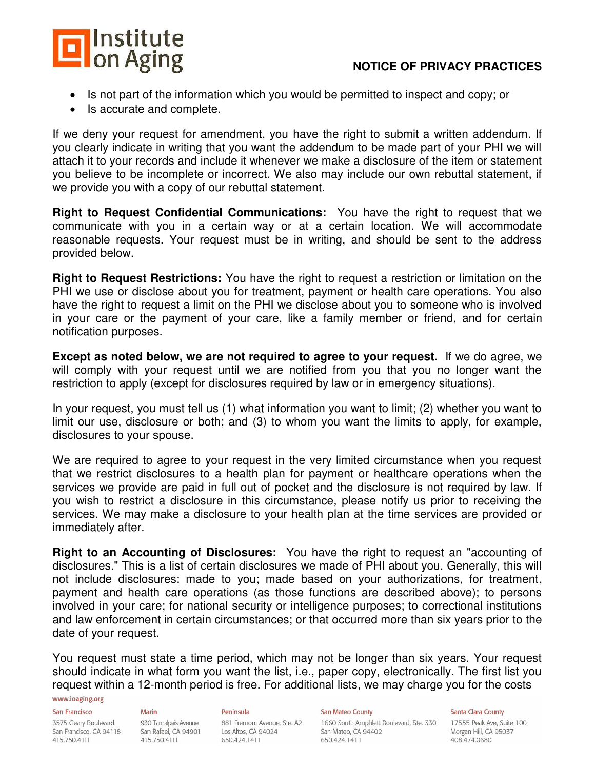

### **NOTICE OF PRIVACY PRACTICES**

- Is not part of the information which you would be permitted to inspect and copy; or
- Is accurate and complete.

If we deny your request for amendment, you have the right to submit a written addendum. If you clearly indicate in writing that you want the addendum to be made part of your PHI we will attach it to your records and include it whenever we make a disclosure of the item or statement you believe to be incomplete or incorrect. We also may include our own rebuttal statement, if we provide you with a copy of our rebuttal statement.

**Right to Request Confidential Communications:** You have the right to request that we communicate with you in a certain way or at a certain location. We will accommodate reasonable requests. Your request must be in writing, and should be sent to the address provided below.

**Right to Request Restrictions:** You have the right to request a restriction or limitation on the PHI we use or disclose about you for treatment, payment or health care operations. You also have the right to request a limit on the PHI we disclose about you to someone who is involved in your care or the payment of your care, like a family member or friend, and for certain notification purposes.

**Except as noted below, we are not required to agree to your request.** If we do agree, we will comply with your request until we are notified from you that you no longer want the restriction to apply (except for disclosures required by law or in emergency situations).

In your request, you must tell us (1) what information you want to limit; (2) whether you want to limit our use, disclosure or both; and (3) to whom you want the limits to apply, for example, disclosures to your spouse.

We are required to agree to your request in the very limited circumstance when you request that we restrict disclosures to a health plan for payment or healthcare operations when the services we provide are paid in full out of pocket and the disclosure is not required by law. If you wish to restrict a disclosure in this circumstance, please notify us prior to receiving the services. We may make a disclosure to your health plan at the time services are provided or immediately after.

**Right to an Accounting of Disclosures:** You have the right to request an "accounting of disclosures." This is a list of certain disclosures we made of PHI about you. Generally, this will not include disclosures: made to you; made based on your authorizations, for treatment, payment and health care operations (as those functions are described above); to persons involved in your care; for national security or intelligence purposes; to correctional institutions and law enforcement in certain circumstances; or that occurred more than six years prior to the date of your request.

You request must state a time period, which may not be longer than six years. Your request should indicate in what form you want the list, i.e., paper copy, electronically. The first list you request within a 12-month period is free. For additional lists, we may charge you for the costs

#### www.ioaging.org

**San Francisco** 

#### 3575 Geary Boulevard San Francisco, CA 94118 San Rafael, CA 94901 415.750.4111

930 Tamalpais Avenue 415.750.4111

**Marin** 

#### Peninsula

881 Fremont Avenue, Ste. A2 Los Altos, CA 94024 650.424.1411

#### San Mateo County

1660 South Amphlett Boulevard, Ste. 330 San Mateo, CA 94402 650.424.1411

**Santa Clara County**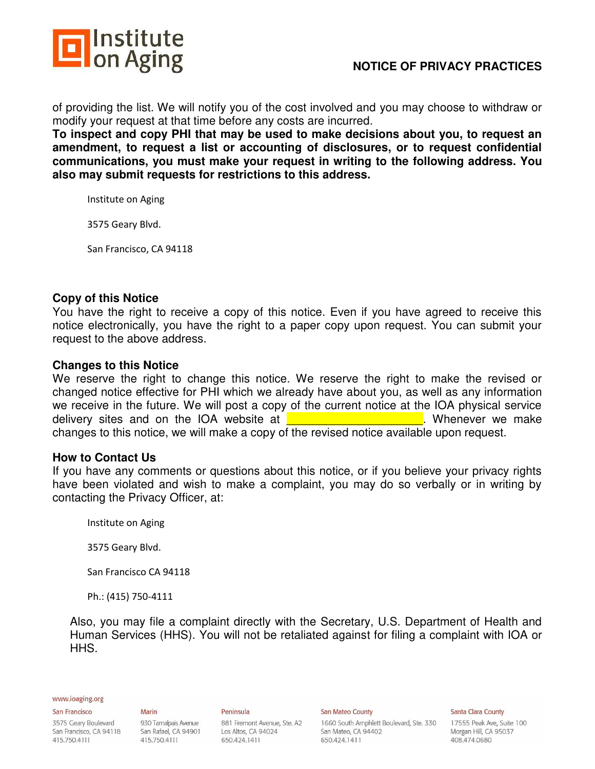

of providing the list. We will notify you of the cost involved and you may choose to withdraw or modify your request at that time before any costs are incurred.

**To inspect and copy PHI that may be used to make decisions about you, to request an amendment, to request a list or accounting of disclosures, or to request confidential communications, you must make your request in writing to the following address. You also may submit requests for restrictions to this address.** 

Institute on Aging

3575 Geary Blvd.

San Francisco, CA 94118

### **Copy of this Notice**

You have the right to receive a copy of this notice. Even if you have agreed to receive this notice electronically, you have the right to a paper copy upon request. You can submit your request to the above address.

### **Changes to this Notice**

We reserve the right to change this notice. We reserve the right to make the revised or changed notice effective for PHI which we already have about you, as well as any information we receive in the future. We will post a copy of the current notice at the IOA physical service delivery sites and on the IOA website at **EXA is a set of the UNIX Whenever we make** changes to this notice, we will make a copy of the revised notice available upon request.

### **How to Contact Us**

If you have any comments or questions about this notice, or if you believe your privacy rights have been violated and wish to make a complaint, you may do so verbally or in writing by contacting the Privacy Officer, at:

Institute on Aging

3575 Geary Blvd.

San Francisco CA 94118

Ph.: (415) 750-4111

Also, you may file a complaint directly with the Secretary, U.S. Department of Health and Human Services (HHS). You will not be retaliated against for filing a complaint with IOA or HHS.

#### www.ioaging.org

#### San Francisco

3575 Geary Boulevard San Francisco, CA 94118 San Rafael, CA 94901 415.750.4111

**Marin** 

930 Tamalpais Avenue 415.750.4111

#### 881 Fremont Avenue, Ste. A2 Los Altos, CA 94024 650.424.1411

Peninsula

#### San Mateo County

1660 South Amphlett Boulevard, Ste. 330 San Mateo, CA 94402 650.424.1411

#### **Santa Clara County**